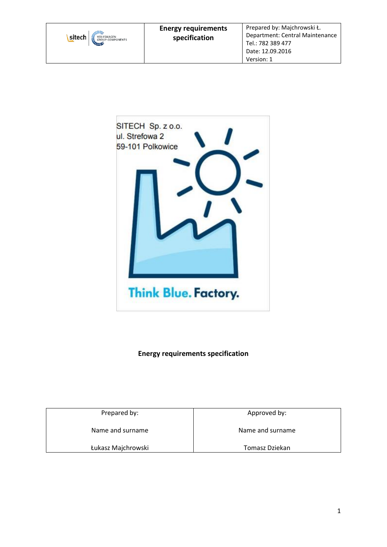



# **Energy requirements specification**

Prepared by: Name and surname Łukasz Majchrowski Approved by: Name and surname Tomasz Dziekan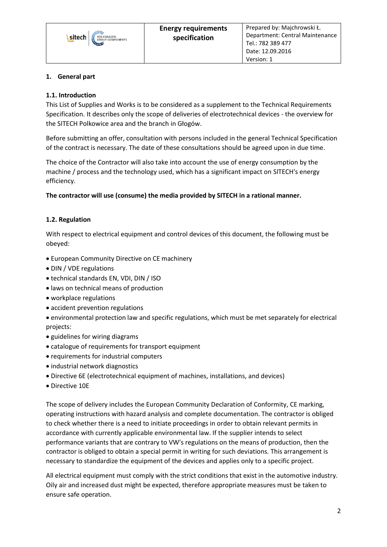## **1. General part**

## **1.1. Introduction**

This List of Supplies and Works is to be considered as a supplement to the Technical Requirements Specification. It describes only the scope of deliveries of electrotechnical devices - the overview for the SITECH Polkowice area and the branch in Głogów.

Before submitting an offer, consultation with persons included in the general Technical Specification of the contract is necessary. The date of these consultations should be agreed upon in due time.

The choice of the Contractor will also take into account the use of energy consumption by the machine / process and the technology used, which has a significant impact on SITECH's energy efficiency.

**The contractor will use (consume) the media provided by SITECH in a rational manner.**

## **1.2. Regulation**

With respect to electrical equipment and control devices of this document, the following must be obeyed:

- European Community Directive on CE machinery
- DIN / VDE regulations
- technical standards EN, VDI, DIN / ISO
- laws on technical means of production
- workplace regulations
- accident prevention regulations

• environmental protection law and specific regulations, which must be met separately for electrical projects:

- guidelines for wiring diagrams
- catalogue of requirements for transport equipment
- requirements for industrial computers
- industrial network diagnostics
- Directive 6E (electrotechnical equipment of machines, installations, and devices)
- Directive 10E

The scope of delivery includes the European Community Declaration of Conformity, CE marking, operating instructions with hazard analysis and complete documentation. The contractor is obliged to check whether there is a need to initiate proceedings in order to obtain relevant permits in accordance with currently applicable environmental law. If the supplier intends to select performance variants that are contrary to VW's regulations on the means of production, then the contractor is obliged to obtain a special permit in writing for such deviations. This arrangement is necessary to standardize the equipment of the devices and applies only to a specific project.

All electrical equipment must comply with the strict conditions that exist in the automotive industry. Oily air and increased dust might be expected, therefore appropriate measures must be taken to ensure safe operation.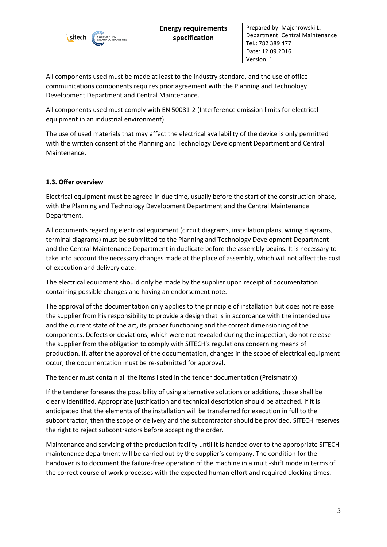

All components used must be made at least to the industry standard, and the use of office communications components requires prior agreement with the Planning and Technology Development Department and Central Maintenance.

All components used must comply with EN 50081-2 (Interference emission limits for electrical equipment in an industrial environment).

The use of used materials that may affect the electrical availability of the device is only permitted with the written consent of the Planning and Technology Development Department and Central Maintenance.

## **1.3. Offer overview**

Electrical equipment must be agreed in due time, usually before the start of the construction phase, with the Planning and Technology Development Department and the Central Maintenance Department.

All documents regarding electrical equipment (circuit diagrams, installation plans, wiring diagrams, terminal diagrams) must be submitted to the Planning and Technology Development Department and the Central Maintenance Department in duplicate before the assembly begins. It is necessary to take into account the necessary changes made at the place of assembly, which will not affect the cost of execution and delivery date.

The electrical equipment should only be made by the supplier upon receipt of documentation containing possible changes and having an endorsement note.

The approval of the documentation only applies to the principle of installation but does not release the supplier from his responsibility to provide a design that is in accordance with the intended use and the current state of the art, its proper functioning and the correct dimensioning of the components. Defects or deviations, which were not revealed during the inspection, do not release the supplier from the obligation to comply with SITECH's regulations concerning means of production. If, after the approval of the documentation, changes in the scope of electrical equipment occur, the documentation must be re-submitted for approval.

The tender must contain all the items listed in the tender documentation (Preismatrix).

If the tenderer foresees the possibility of using alternative solutions or additions, these shall be clearly identified. Appropriate justification and technical description should be attached. If it is anticipated that the elements of the installation will be transferred for execution in full to the subcontractor, then the scope of delivery and the subcontractor should be provided. SITECH reserves the right to reject subcontractors before accepting the order.

Maintenance and servicing of the production facility until it is handed over to the appropriate SITECH maintenance department will be carried out by the supplier's company. The condition for the handover is to document the failure-free operation of the machine in a multi-shift mode in terms of the correct course of work processes with the expected human effort and required clocking times.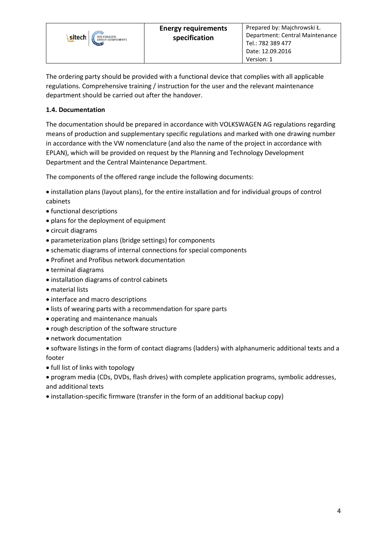

The ordering party should be provided with a functional device that complies with all applicable regulations. Comprehensive training / instruction for the user and the relevant maintenance department should be carried out after the handover.

## **1.4. Documentation**

The documentation should be prepared in accordance with VOLKSWAGEN AG regulations regarding means of production and supplementary specific regulations and marked with one drawing number in accordance with the VW nomenclature (and also the name of the project in accordance with EPLAN), which will be provided on request by the Planning and Technology Development Department and the Central Maintenance Department.

The components of the offered range include the following documents:

- installation plans (layout plans), for the entire installation and for individual groups of control cabinets
- functional descriptions
- plans for the deployment of equipment
- circuit diagrams
- parameterization plans (bridge settings) for components
- schematic diagrams of internal connections for special components
- Profinet and Profibus network documentation
- terminal diagrams
- installation diagrams of control cabinets
- material lists
- interface and macro descriptions
- lists of wearing parts with a recommendation for spare parts
- operating and maintenance manuals
- rough description of the software structure
- network documentation

• software listings in the form of contact diagrams (ladders) with alphanumeric additional texts and a footer

- full list of links with topology
- program media (CDs, DVDs, flash drives) with complete application programs, symbolic addresses, and additional texts
- installation-specific firmware (transfer in the form of an additional backup copy)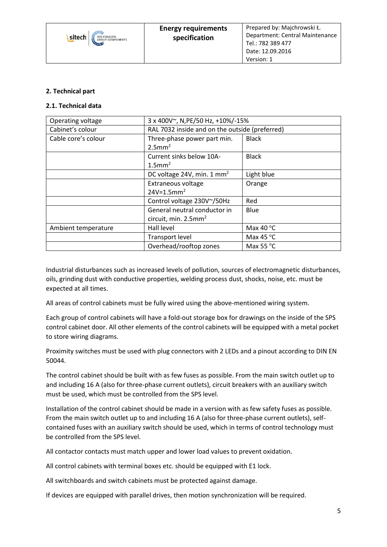

#### **2. Technical part**

#### **2.1. Technical data**

| Operating voltage   | 3 x 400V~, N, PE/50 Hz, +10%/-15%                                   |                    |
|---------------------|---------------------------------------------------------------------|--------------------|
| Cabinet's colour    | RAL 7032 inside and on the outside (preferred)                      |                    |
| Cable core's colour | Three-phase power part min.<br>$2.5$ mm <sup>2</sup>                | <b>Black</b>       |
|                     | Current sinks below 10A-<br>$1.5$ mm <sup>2</sup>                   | <b>Black</b>       |
|                     | DC voltage 24V, min. 1 mm <sup>2</sup>                              | Light blue         |
|                     | Extraneous voltage<br>$24V = 1.5$ mm <sup>2</sup>                   | Orange             |
|                     | Control voltage 230V~/50Hz                                          | Red                |
|                     | General neutral conductor in<br>circuit, min. $2.5$ mm <sup>2</sup> | Blue               |
| Ambient temperature | Hall level                                                          | Max 40 $\degree$ C |
|                     | <b>Transport level</b>                                              | Max 45 $\degree$ C |
|                     | Overhead/rooftop zones                                              | Max 55 $\degree$ C |

Industrial disturbances such as increased levels of pollution, sources of electromagnetic disturbances, oils, grinding dust with conductive properties, welding process dust, shocks, noise, etc. must be expected at all times.

All areas of control cabinets must be fully wired using the above-mentioned wiring system.

Each group of control cabinets will have a fold-out storage box for drawings on the inside of the SPS control cabinet door. All other elements of the control cabinets will be equipped with a metal pocket to store wiring diagrams.

Proximity switches must be used with plug connectors with 2 LEDs and a pinout according to DIN EN 50044.

The control cabinet should be built with as few fuses as possible. From the main switch outlet up to and including 16 A (also for three-phase current outlets), circuit breakers with an auxiliary switch must be used, which must be controlled from the SPS level.

Installation of the control cabinet should be made in a version with as few safety fuses as possible. From the main switch outlet up to and including 16 A (also for three-phase current outlets), selfcontained fuses with an auxiliary switch should be used, which in terms of control technology must be controlled from the SPS level.

All contactor contacts must match upper and lower load values to prevent oxidation.

All control cabinets with terminal boxes etc. should be equipped with E1 lock.

All switchboards and switch cabinets must be protected against damage.

If devices are equipped with parallel drives, then motion synchronization will be required.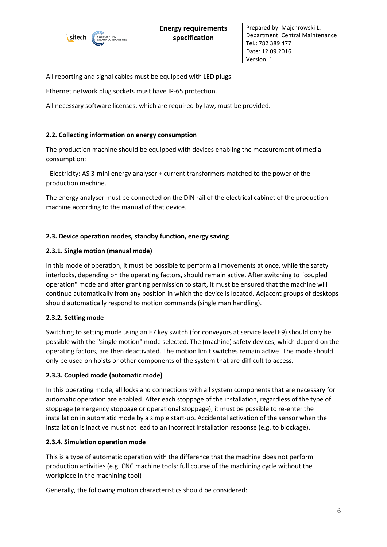All reporting and signal cables must be equipped with LED plugs.

Ethernet network plug sockets must have IP-65 protection.

All necessary software licenses, which are required by law, must be provided.

## **2.2. Collecting information on energy consumption**

The production machine should be equipped with devices enabling the measurement of media consumption:

- Electricity: AS 3-mini energy analyser + current transformers matched to the power of the production machine.

The energy analyser must be connected on the DIN rail of the electrical cabinet of the production machine according to the manual of that device.

#### **2.3. Device operation modes, standby function, energy saving**

#### **2.3.1. Single motion (manual mode)**

In this mode of operation, it must be possible to perform all movements at once, while the safety interlocks, depending on the operating factors, should remain active. After switching to "coupled operation" mode and after granting permission to start, it must be ensured that the machine will continue automatically from any position in which the device is located. Adjacent groups of desktops should automatically respond to motion commands (single man handling).

#### **2.3.2. Setting mode**

sitech

Switching to setting mode using an E7 key switch (for conveyors at service level E9) should only be possible with the "single motion" mode selected. The (machine) safety devices, which depend on the operating factors, are then deactivated. The motion limit switches remain active! The mode should only be used on hoists or other components of the system that are difficult to access.

#### **2.3.3. Coupled mode (automatic mode)**

In this operating mode, all locks and connections with all system components that are necessary for automatic operation are enabled. After each stoppage of the installation, regardless of the type of stoppage (emergency stoppage or operational stoppage), it must be possible to re-enter the installation in automatic mode by a simple start-up. Accidental activation of the sensor when the installation is inactive must not lead to an incorrect installation response (e.g. to blockage).

#### **2.3.4. Simulation operation mode**

This is a type of automatic operation with the difference that the machine does not perform production activities (e.g. CNC machine tools: full course of the machining cycle without the workpiece in the machining tool)

Generally, the following motion characteristics should be considered: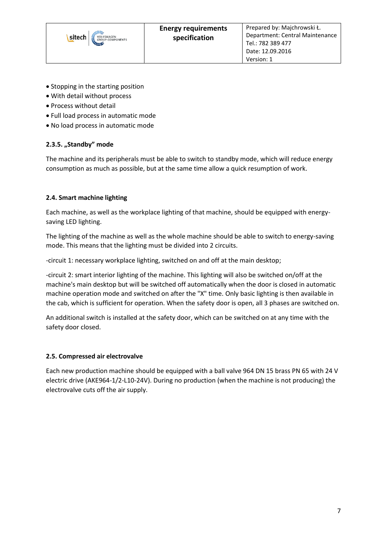

- Stopping in the starting position
- With detail without process
- Process without detail
- Full load process in automatic mode
- No load process in automatic mode

#### **2.3.5. "Standby" mode**

The machine and its peripherals must be able to switch to standby mode, which will reduce energy consumption as much as possible, but at the same time allow a quick resumption of work.

#### **2.4. Smart machine lighting**

Each machine, as well as the workplace lighting of that machine, should be equipped with energysaving LED lighting.

The lighting of the machine as well as the whole machine should be able to switch to energy-saving mode. This means that the lighting must be divided into 2 circuits.

-circuit 1: necessary workplace lighting, switched on and off at the main desktop;

-circuit 2: smart interior lighting of the machine. This lighting will also be switched on/off at the machine's main desktop but will be switched off automatically when the door is closed in automatic machine operation mode and switched on after the "X" time. Only basic lighting is then available in the cab, which is sufficient for operation. When the safety door is open, all 3 phases are switched on.

An additional switch is installed at the safety door, which can be switched on at any time with the safety door closed.

#### **2.5. Compressed air electrovalve**

Each new production machine should be equipped with a ball valve 964 DN 15 brass PN 65 with 24 V electric drive (AKE964-1/2-L10-24V). During no production (when the machine is not producing) the electrovalve cuts off the air supply.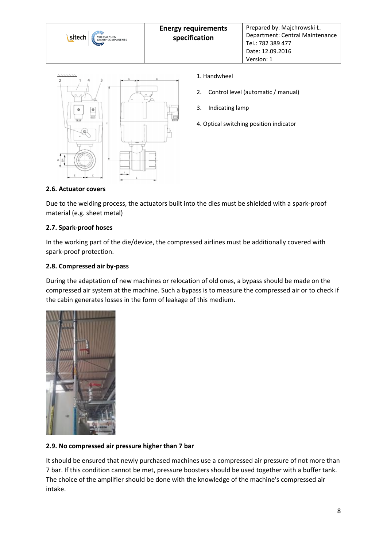



- 1. Handwheel
- 2. Control level (automatic / manual)
- 3. Indicating lamp
- 4. Optical switching position indicator

## **2.6. Actuator covers**

Due to the welding process, the actuators built into the dies must be shielded with a spark-proof material (e.g. sheet metal)

#### **2.7. Spark-proof hoses**

In the working part of the die/device, the compressed airlines must be additionally covered with spark-proof protection.

## **2.8. Compressed air by-pass**

During the adaptation of new machines or relocation of old ones, a bypass should be made on the compressed air system at the machine. Such a bypass is to measure the compressed air or to check if the cabin generates losses in the form of leakage of this medium.



## **2.9. No compressed air pressure higher than 7 bar**

It should be ensured that newly purchased machines use a compressed air pressure of not more than 7 bar. If this condition cannot be met, pressure boosters should be used together with a buffer tank. The choice of the amplifier should be done with the knowledge of the machine's compressed air intake.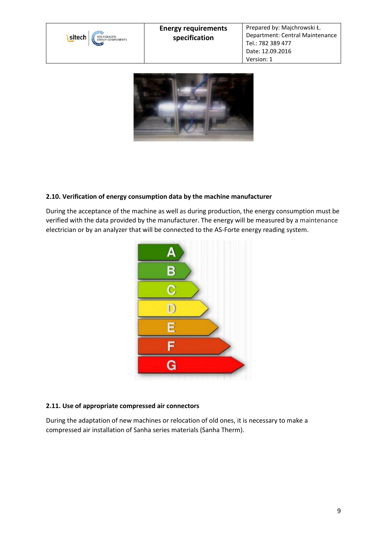



## **2.10. Verification of energy consumption data by the machine manufacturer**

During the acceptance of the machine as well as during production, the energy consumption must be verified with the data provided by the manufacturer. The energy will be measured by a maintenance electrician or by an analyzer that will be connected to the AS-Forte energy reading system.



## **2.11. Use of appropriate compressed air connectors**

During the adaptation of new machines or relocation of old ones, it is necessary to make a compressed air installation of Sanha series materials (Sanha Therm).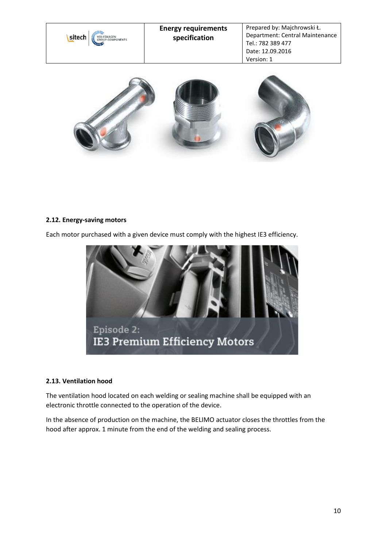



## **2.12. Energy-saving motors**

Each motor purchased with a given device must comply with the highest IE3 efficiency.



#### **2.13. Ventilation hood**

The ventilation hood located on each welding or sealing machine shall be equipped with an electronic throttle connected to the operation of the device.

In the absence of production on the machine, the BELIMO actuator closes the throttles from the hood after approx. 1 minute from the end of the welding and sealing process.